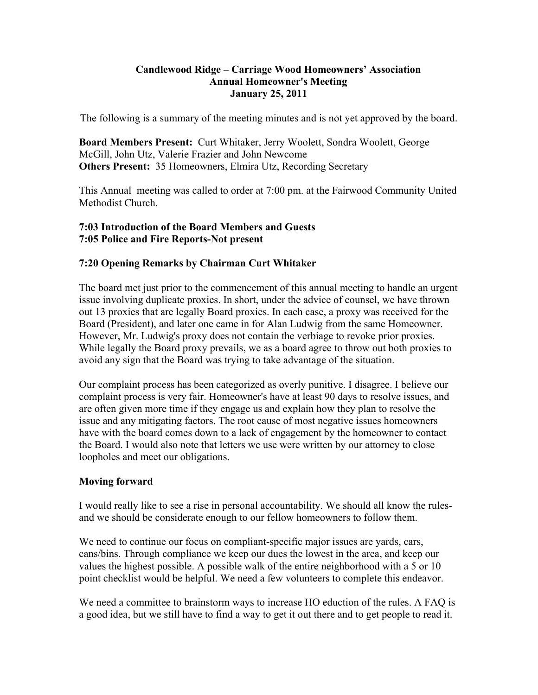#### **Candlewood Ridge – Carriage Wood Homeowners' Association Annual Homeowner's Meeting January 25, 2011**

The following is a summary of the meeting minutes and is not yet approved by the board.

**Board Members Present:** Curt Whitaker, Jerry Woolett, Sondra Woolett, George McGill, John Utz, Valerie Frazier and John Newcome **Others Present:** 35 Homeowners, Elmira Utz, Recording Secretary

This Annual meeting was called to order at 7:00 pm. at the Fairwood Community United Methodist Church.

## **7:03 Introduction of the Board Members and Guests 7:05 Police and Fire Reports-Not present**

# **7:20 Opening Remarks by Chairman Curt Whitaker**

The board met just prior to the commencement of this annual meeting to handle an urgent issue involving duplicate proxies. In short, under the advice of counsel, we have thrown out 13 proxies that are legally Board proxies. In each case, a proxy was received for the Board (President), and later one came in for Alan Ludwig from the same Homeowner. However, Mr. Ludwig's proxy does not contain the verbiage to revoke prior proxies. While legally the Board proxy prevails, we as a board agree to throw out both proxies to avoid any sign that the Board was trying to take advantage of the situation.

Our complaint process has been categorized as overly punitive. I disagree. I believe our complaint process is very fair. Homeowner's have at least 90 days to resolve issues, and are often given more time if they engage us and explain how they plan to resolve the issue and any mitigating factors. The root cause of most negative issues homeowners have with the board comes down to a lack of engagement by the homeowner to contact the Board. I would also note that letters we use were written by our attorney to close loopholes and meet our obligations.

## **Moving forward**

I would really like to see a rise in personal accountability. We should all know the rulesand we should be considerate enough to our fellow homeowners to follow them.

We need to continue our focus on compliant-specific major issues are yards, cars, cans/bins. Through compliance we keep our dues the lowest in the area, and keep our values the highest possible. A possible walk of the entire neighborhood with a 5 or 10 point checklist would be helpful. We need a few volunteers to complete this endeavor.

We need a committee to brainstorm ways to increase HO eduction of the rules. A FAQ is a good idea, but we still have to find a way to get it out there and to get people to read it.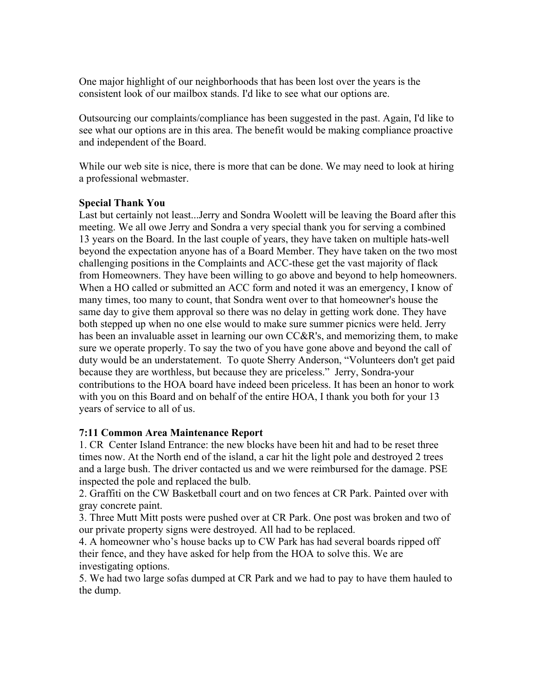One major highlight of our neighborhoods that has been lost over the years is the consistent look of our mailbox stands. I'd like to see what our options are.

Outsourcing our complaints/compliance has been suggested in the past. Again, I'd like to see what our options are in this area. The benefit would be making compliance proactive and independent of the Board.

While our web site is nice, there is more that can be done. We may need to look at hiring a professional webmaster.

#### **Special Thank You**

Last but certainly not least...Jerry and Sondra Woolett will be leaving the Board after this meeting. We all owe Jerry and Sondra a very special thank you for serving a combined 13 years on the Board. In the last couple of years, they have taken on multiple hats-well beyond the expectation anyone has of a Board Member. They have taken on the two most challenging positions in the Complaints and ACC-these get the vast majority of flack from Homeowners. They have been willing to go above and beyond to help homeowners. When a HO called or submitted an ACC form and noted it was an emergency, I know of many times, too many to count, that Sondra went over to that homeowner's house the same day to give them approval so there was no delay in getting work done. They have both stepped up when no one else would to make sure summer picnics were held. Jerry has been an invaluable asset in learning our own CC&R's, and memorizing them, to make sure we operate properly. To say the two of you have gone above and beyond the call of duty would be an understatement. To quote Sherry Anderson, "Volunteers don't get paid because they are worthless, but because they are priceless." Jerry, Sondra-your contributions to the HOA board have indeed been priceless. It has been an honor to work with you on this Board and on behalf of the entire HOA, I thank you both for your 13 years of service to all of us.

#### **7:11 Common Area Maintenance Report**

1. CR Center Island Entrance: the new blocks have been hit and had to be reset three times now. At the North end of the island, a car hit the light pole and destroyed 2 trees and a large bush. The driver contacted us and we were reimbursed for the damage. PSE inspected the pole and replaced the bulb.

2. Graffiti on the CW Basketball court and on two fences at CR Park. Painted over with gray concrete paint.

3. Three Mutt Mitt posts were pushed over at CR Park. One post was broken and two of our private property signs were destroyed. All had to be replaced.

4. A homeowner who's house backs up to CW Park has had several boards ripped off their fence, and they have asked for help from the HOA to solve this. We are investigating options.

5. We had two large sofas dumped at CR Park and we had to pay to have them hauled to the dump.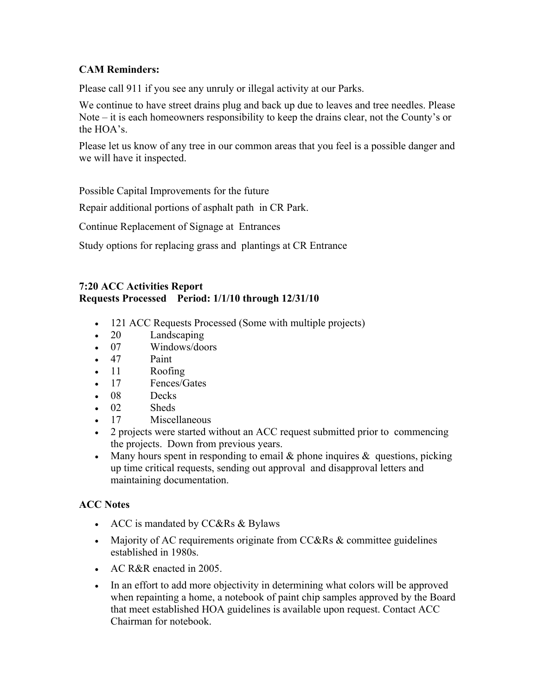# **CAM Reminders:**

Please call 911 if you see any unruly or illegal activity at our Parks.

We continue to have street drains plug and back up due to leaves and tree needles. Please Note – it is each homeowners responsibility to keep the drains clear, not the County's or the HOA's.

Please let us know of any tree in our common areas that you feel is a possible danger and we will have it inspected.

Possible Capital Improvements for the future

Repair additional portions of asphalt path in CR Park.

Continue Replacement of Signage at Entrances

Study options for replacing grass and plantings at CR Entrance

#### **7:20 ACC Activities Report Requests Processed Period: 1/1/10 through 12/31/10**

- 121 ACC Requests Processed (Some with multiple projects)
- 20 Landscaping
- 07 Windows/doors
- 47 Paint
- 11 Roofing
- 17 Fences/Gates
- 08 Decks
- 02 Sheds
- 17 Miscellaneous
- 2 projects were started without an ACC request submitted prior to commencing the projects. Down from previous years.
- Many hours spent in responding to email  $\&$  phone inquires  $\&$  questions, picking up time critical requests, sending out approval and disapproval letters and maintaining documentation.

## **ACC Notes**

- ACC is mandated by  $CC&Rs&Bylaws$
- Majority of AC requirements originate from CC&Rs  $&$  committee guidelines established in 1980s.
- AC R&R enacted in 2005.
- In an effort to add more objectivity in determining what colors will be approved when repainting a home, a notebook of paint chip samples approved by the Board that meet established HOA guidelines is available upon request. Contact ACC Chairman for notebook.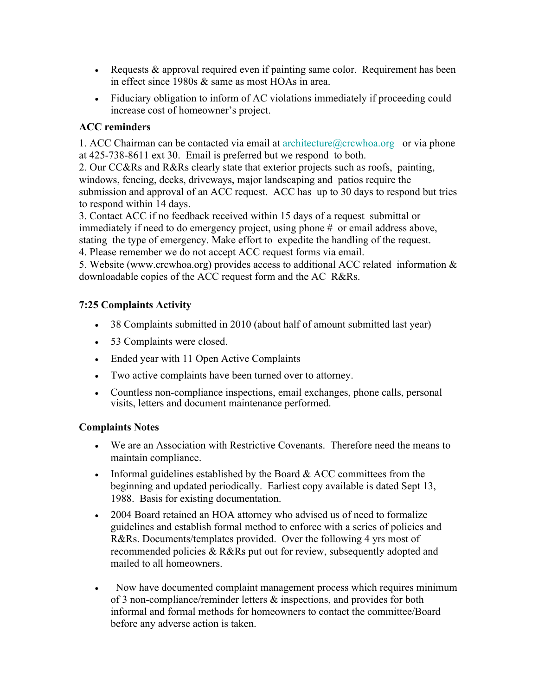- Equests  $\&$  approval required even if painting same color. Requirement has been in effect since 1980s & same as most HOAs in area.
- Fiduciary obligation to inform of AC violations immediately if proceeding could increase cost of homeowner's project.

# **ACC reminders**

1. ACC Chairman can be contacted via email at  $\arctan(\alpha)$  erg and  $\arctan(\alpha)$  or via phone at 425-738-8611 ext 30. Email is preferred but we respond to both.

2. Our CC&Rs and R&Rs clearly state that exterior projects such as roofs, painting, windows, fencing, decks, driveways, major landscaping and patios require the submission and approval of an ACC request. ACC has up to 30 days to respond but tries to respond within 14 days.

3. Contact ACC if no feedback received within 15 days of a request submittal or immediately if need to do emergency project, using phone # or email address above, stating the type of emergency. Make effort to expedite the handling of the request.

4. Please remember we do not accept ACC request forms via email.

5. Website (www.crcwhoa.org) provides access to additional ACC related information & downloadable copies of the ACC request form and the AC R&Rs.

# **7:25 Complaints Activity**

- 38 Complaints submitted in 2010 (about half of amount submitted last year)
- 53 Complaints were closed.
- Ended year with 11 Open Active Complaints
- Two active complaints have been turned over to attorney.
- Countless non-compliance inspections, email exchanges, phone calls, personal visits, letters and document maintenance performed.

## **Complaints Notes**

- We are an Association with Restrictive Covenants. Therefore need the means to maintain compliance.
- Informal guidelines established by the Board  $&$  ACC committees from the beginning and updated periodically. Earliest copy available is dated Sept 13, 1988. Basis for existing documentation.
- 2004 Board retained an HOA attorney who advised us of need to formalize guidelines and establish formal method to enforce with a series of policies and R&Rs. Documents/templates provided. Over the following 4 yrs most of recommended policies & R&Rs put out for review, subsequently adopted and mailed to all homeowners.
- Now have documented complaint management process which requires minimum of 3 non-compliance/reminder letters & inspections, and provides for both informal and formal methods for homeowners to contact the committee/Board before any adverse action is taken.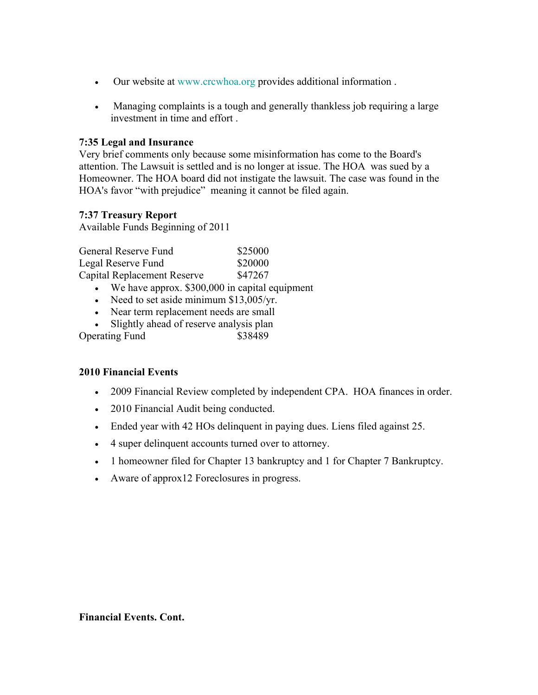- Our website at www.crcwhoa.org provides additional information .
- Managing complaints is a tough and generally thankless job requiring a large investment in time and effort .

#### **7:35 Legal and Insurance**

Very brief comments only because some misinformation has come to the Board's attention. The Lawsuit is settled and is no longer at issue. The HOA was sued by a Homeowner. The HOA board did not instigate the lawsuit. The case was found in the HOA's favor "with prejudice" meaning it cannot be filed again.

#### **7:37 Treasury Report**

Available Funds Beginning of 2011

| General Reserve Fund                    | \$25000 |
|-----------------------------------------|---------|
| Legal Reserve Fund                      | \$20000 |
| Capital Replacement Reserve             | \$47267 |
| We have approx \$300,000 in capital equ |         |

- We have approx. \$300,000 in capital equipment
- Need to set aside minimum  $$13,005/yr$ .
- Near term replacement needs are small
- Slightly ahead of reserve analysis plan Operating Fund \$38489

#### **2010 Financial Events**

- 2009 Financial Review completed by independent CPA. HOA finances in order.
- 2010 Financial Audit being conducted.
- Ended year with 42 HOs delinquent in paying dues. Liens filed against 25.
- 4 super delinquent accounts turned over to attorney.
- 1 homeowner filed for Chapter 13 bankruptcy and 1 for Chapter 7 Bankruptcy.
- Aware of approx12 Foreclosures in progress.

**Financial Events. Cont.**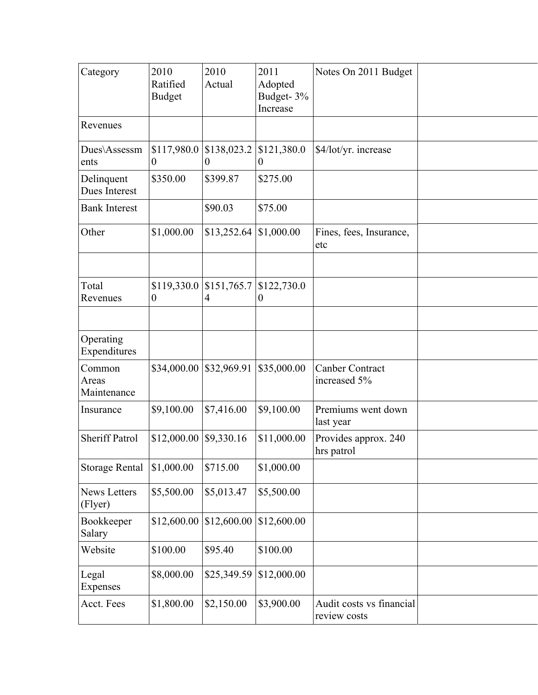| Category                       | 2010<br>Ratified<br><b>Budget</b> | 2010<br>Actual          | 2011<br>Adopted<br>Budget-3%<br>Increase | Notes On 2011 Budget                     |  |
|--------------------------------|-----------------------------------|-------------------------|------------------------------------------|------------------------------------------|--|
| Revenues                       |                                   |                         |                                          |                                          |  |
| Dues\Assessm<br>ents           | \$117,980.0<br>$\boldsymbol{0}$   | \$138,023.2<br>$\theta$ | \$121,380.0<br>$\theta$                  | \$4/lot/yr. increase                     |  |
| Delinquent<br>Dues Interest    | \$350.00                          | \$399.87                | \$275.00                                 |                                          |  |
| <b>Bank Interest</b>           |                                   | \$90.03                 | \$75.00                                  |                                          |  |
| Other                          | \$1,000.00                        | \$13,252.64             | \$1,000.00                               | Fines, fees, Insurance,<br>etc           |  |
|                                |                                   |                         |                                          |                                          |  |
| Total<br>Revenues              | \$119,330.0<br>$\boldsymbol{0}$   | \$151,765.7<br>4        | \$122,730.0<br>$\boldsymbol{0}$          |                                          |  |
|                                |                                   |                         |                                          |                                          |  |
| Operating<br>Expenditures      |                                   |                         |                                          |                                          |  |
| Common<br>Areas<br>Maintenance | \$34,000.00                       | \$32,969.91             | \$35,000.00                              | <b>Canber Contract</b><br>increased 5%   |  |
| Insurance                      | \$9,100.00                        | \$7,416.00              | \$9,100.00                               | Premiums went down<br>last year          |  |
| <b>Sheriff Patrol</b>          | \$12,000.00                       | \$9,330.16              | \$11,000.00                              | Provides approx. 240<br>hrs patrol       |  |
| <b>Storage Rental</b>          | \$1,000.00                        | \$715.00                | \$1,000.00                               |                                          |  |
| <b>News Letters</b><br>(Flyer) | \$5,500.00                        | \$5,013.47              | \$5,500.00                               |                                          |  |
| Bookkeeper<br>Salary           | \$12,600.00                       | \$12,600.00             | \$12,600.00                              |                                          |  |
| Website                        | \$100.00                          | \$95.40                 | \$100.00                                 |                                          |  |
| Legal<br>Expenses              | \$8,000.00                        | \$25,349.59             | \$12,000.00                              |                                          |  |
| Acct. Fees                     | \$1,800.00                        | \$2,150.00              | \$3,900.00                               | Audit costs vs financial<br>review costs |  |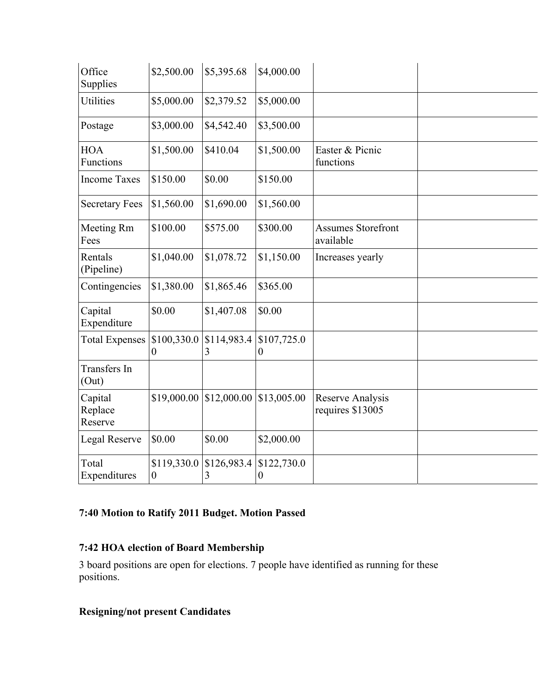| Office<br>Supplies            | \$2,500.00              | \$5,395.68       | \$4,000.00                      |                                        |  |
|-------------------------------|-------------------------|------------------|---------------------------------|----------------------------------------|--|
| <b>Utilities</b>              | \$5,000.00              | \$2,379.52       | \$5,000.00                      |                                        |  |
| Postage                       | \$3,000.00              | \$4,542.40       | \$3,500.00                      |                                        |  |
| <b>HOA</b><br>Functions       | \$1,500.00              | \$410.04         | \$1,500.00                      | Easter & Picnic<br>functions           |  |
| <b>Income Taxes</b>           | \$150.00                | \$0.00           | \$150.00                        |                                        |  |
| <b>Secretary Fees</b>         | \$1,560.00              | \$1,690.00       | \$1,560.00                      |                                        |  |
| Meeting Rm<br>Fees            | \$100.00                | \$575.00         | \$300.00                        | <b>Assumes Storefront</b><br>available |  |
| Rentals<br>(Pipeline)         | \$1,040.00              | \$1,078.72       | \$1,150.00                      | Increases yearly                       |  |
| Contingencies                 | \$1,380.00              | \$1,865.46       | \$365.00                        |                                        |  |
| Capital<br>Expenditure        | \$0.00                  | \$1,407.08       | \$0.00                          |                                        |  |
| <b>Total Expenses</b>         | \$100,330.0<br>$\theta$ | \$114,983.4<br>3 | \$107,725.0<br>$\boldsymbol{0}$ |                                        |  |
| Transfers In<br>(Out)         |                         |                  |                                 |                                        |  |
| Capital<br>Replace<br>Reserve | \$19,000.00             | \$12,000.00      | \$13,005.00                     | Reserve Analysis<br>requires \$13005   |  |
| Legal Reserve                 | \$0.00                  | \$0.00           | \$2,000.00                      |                                        |  |
| Total<br>Expenditures         | \$119,330.0<br>0        | \$126,983.4<br>3 | \$122,730.0<br>$\boldsymbol{0}$ |                                        |  |

# **7:40 Motion to Ratify 2011 Budget. Motion Passed**

# **7:42 HOA election of Board Membership**

3 board positions are open for elections. 7 people have identified as running for these positions.

# **Resigning/not present Candidates**